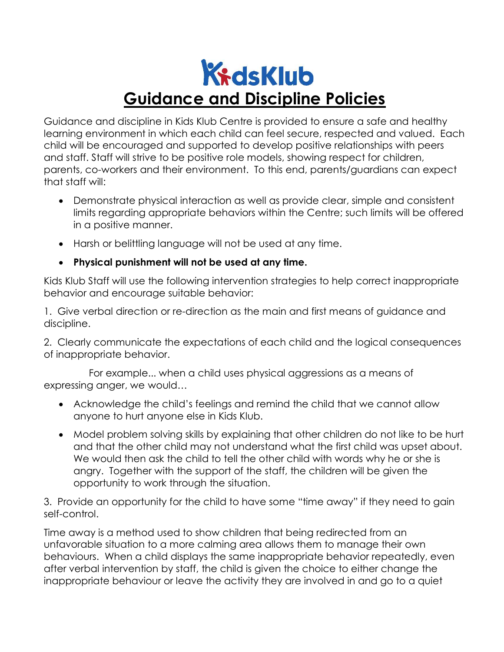## KidsKlub Guidance and Discipline Policies

Guidance and discipline in Kids Klub Centre is provided to ensure a safe and healthy learning environment in which each child can feel secure, respected and valued. Each child will be encouraged and supported to develop positive relationships with peers and staff. Staff will strive to be positive role models, showing respect for children, parents, co-workers and their environment. To this end, parents/guardians can expect that staff will:

- Demonstrate physical interaction as well as provide clear, simple and consistent limits regarding appropriate behaviors within the Centre; such limits will be offered in a positive manner.
- Harsh or belittling language will not be used at any time.
- Physical punishment will not be used at any time.

Kids Klub Staff will use the following intervention strategies to help correct inappropriate behavior and encourage suitable behavior:

1. Give verbal direction or re-direction as the main and first means of guidance and discipline.

2. Clearly communicate the expectations of each child and the logical consequences of inappropriate behavior.

 For example... when a child uses physical aggressions as a means of expressing anger, we would…

- Acknowledge the child's feelings and remind the child that we cannot allow anyone to hurt anyone else in Kids Klub.
- Model problem solving skills by explaining that other children do not like to be hurt and that the other child may not understand what the first child was upset about. We would then ask the child to tell the other child with words why he or she is angry. Together with the support of the staff, the children will be given the opportunity to work through the situation.

3. Provide an opportunity for the child to have some "time away" if they need to gain self-control.

Time away is a method used to show children that being redirected from an unfavorable situation to a more calming area allows them to manage their own behaviours. When a child displays the same inappropriate behavior repeatedly, even after verbal intervention by staff, the child is given the choice to either change the inappropriate behaviour or leave the activity they are involved in and go to a quiet